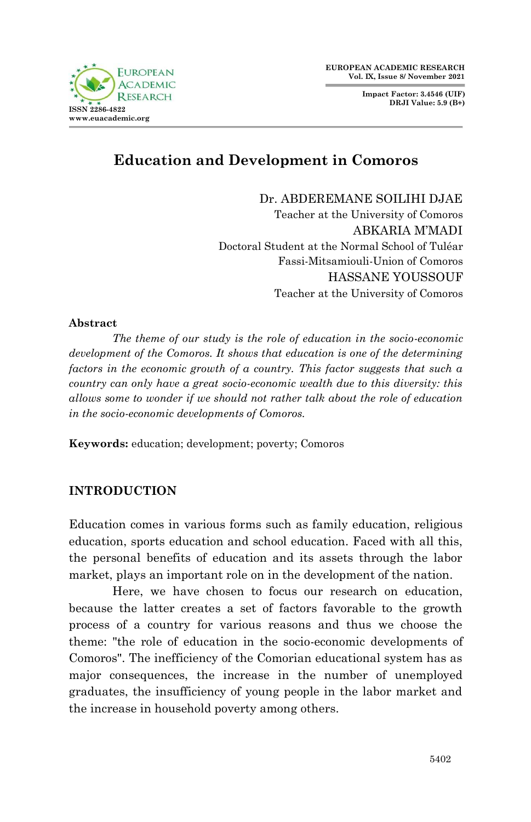

**Impact Factor: 3.4546 (UIF) DRJI Value: 5.9 (B+)**



# **Education and Development in Comoros**

Dr. ABDEREMANE SOILIHI DJAE Teacher at the University of Comoros ABKARIA M'MADI Doctoral Student at the Normal School of Tuléar Fassi-Mitsamiouli-Union of Comoros HASSANE YOUSSOUF Teacher at the University of Comoros

#### **Abstract**

*The theme of our study is the role of education in the socio-economic development of the Comoros. It shows that education is one of the determining*  factors in the economic growth of a country. This factor suggests that such a *country can only have a great socio-economic wealth due to this diversity: this allows some to wonder if we should not rather talk about the role of education in the socio-economic developments of Comoros.*

**Keywords:** education; development; poverty; Comoros

#### **INTRODUCTION**

Education comes in various forms such as family education, religious education, sports education and school education. Faced with all this, the personal benefits of education and its assets through the labor market, plays an important role on in the development of the nation.

Here, we have chosen to focus our research on education, because the latter creates a set of factors favorable to the growth process of a country for various reasons and thus we choose the theme: "the role of education in the socio-economic developments of Comoros". The inefficiency of the Comorian educational system has as major consequences, the increase in the number of unemployed graduates, the insufficiency of young people in the labor market and the increase in household poverty among others.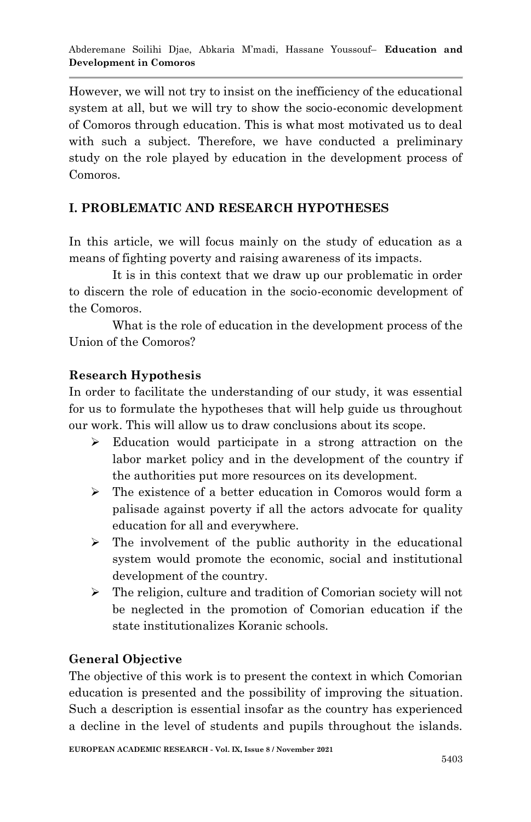However, we will not try to insist on the inefficiency of the educational system at all, but we will try to show the socio-economic development of Comoros through education. This is what most motivated us to deal with such a subject. Therefore, we have conducted a preliminary study on the role played by education in the development process of Comoros.

# **I. PROBLEMATIC AND RESEARCH HYPOTHESES**

In this article, we will focus mainly on the study of education as a means of fighting poverty and raising awareness of its impacts.

It is in this context that we draw up our problematic in order to discern the role of education in the socio-economic development of the Comoros.

What is the role of education in the development process of the Union of the Comoros?

# **Research Hypothesis**

In order to facilitate the understanding of our study, it was essential for us to formulate the hypotheses that will help guide us throughout our work. This will allow us to draw conclusions about its scope.

- Education would participate in a strong attraction on the labor market policy and in the development of the country if the authorities put more resources on its development.
- The existence of a better education in Comoros would form a palisade against poverty if all the actors advocate for quality education for all and everywhere.
- $\triangleright$  The involvement of the public authority in the educational system would promote the economic, social and institutional development of the country.
- $\triangleright$  The religion, culture and tradition of Comorian society will not be neglected in the promotion of Comorian education if the state institutionalizes Koranic schools.

# **General Objective**

The objective of this work is to present the context in which Comorian education is presented and the possibility of improving the situation. Such a description is essential insofar as the country has experienced a decline in the level of students and pupils throughout the islands.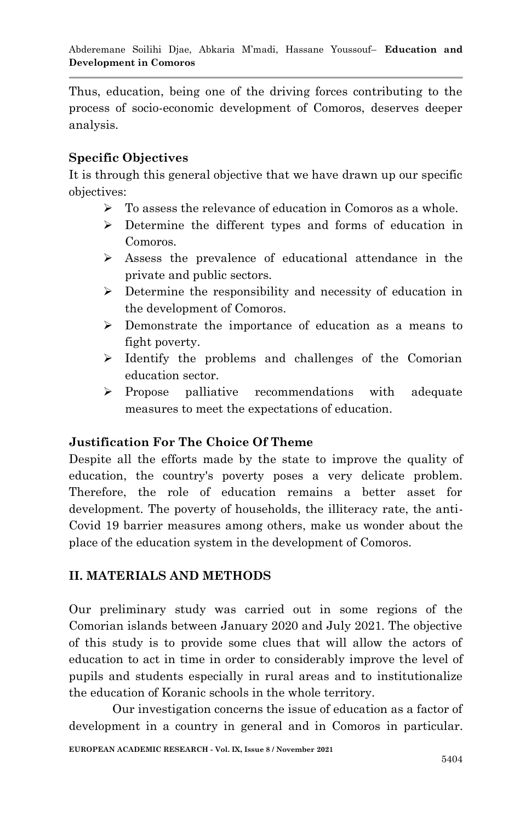Thus, education, being one of the driving forces contributing to the process of socio-economic development of Comoros, deserves deeper analysis.

# **Specific Objectives**

It is through this general objective that we have drawn up our specific objectives:

- To assess the relevance of education in Comoros as a whole.
- Determine the different types and forms of education in Comoros.
- Assess the prevalence of educational attendance in the private and public sectors.
- $\triangleright$  Determine the responsibility and necessity of education in the development of Comoros.
- Demonstrate the importance of education as a means to fight poverty.
- $\triangleright$  Identify the problems and challenges of the Comorian education sector.
- $\triangleright$  Propose palliative recommendations with adequate measures to meet the expectations of education.

# **Justification For The Choice Of Theme**

Despite all the efforts made by the state to improve the quality of education, the country's poverty poses a very delicate problem. Therefore, the role of education remains a better asset for development. The poverty of households, the illiteracy rate, the anti-Covid 19 barrier measures among others, make us wonder about the place of the education system in the development of Comoros.

# **II. MATERIALS AND METHODS**

Our preliminary study was carried out in some regions of the Comorian islands between January 2020 and July 2021. The objective of this study is to provide some clues that will allow the actors of education to act in time in order to considerably improve the level of pupils and students especially in rural areas and to institutionalize the education of Koranic schools in the whole territory.

Our investigation concerns the issue of education as a factor of development in a country in general and in Comoros in particular.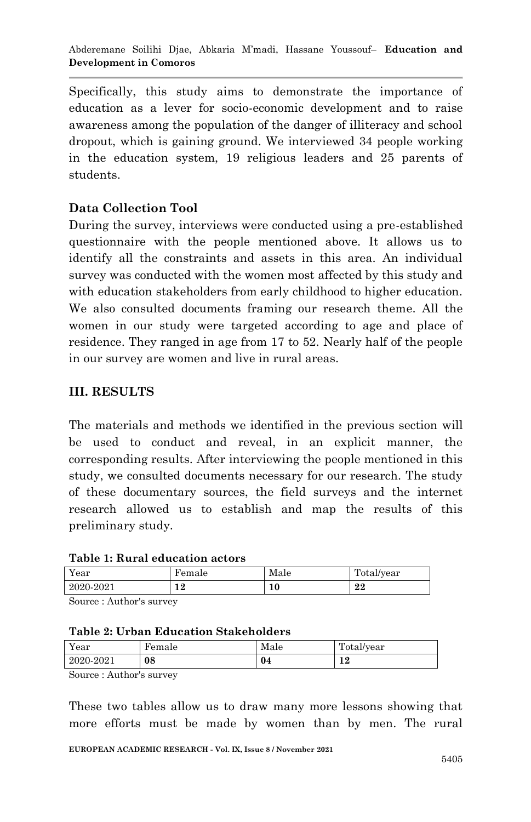Specifically, this study aims to demonstrate the importance of education as a lever for socio-economic development and to raise awareness among the population of the danger of illiteracy and school dropout, which is gaining ground. We interviewed 34 people working in the education system, 19 religious leaders and 25 parents of students.

# **Data Collection Tool**

During the survey, interviews were conducted using a pre-established questionnaire with the people mentioned above. It allows us to identify all the constraints and assets in this area. An individual survey was conducted with the women most affected by this study and with education stakeholders from early childhood to higher education. We also consulted documents framing our research theme. All the women in our study were targeted according to age and place of residence. They ranged in age from 17 to 52. Nearly half of the people in our survey are women and live in rural areas.

# **III. RESULTS**

The materials and methods we identified in the previous section will be used to conduct and reveal, in an explicit manner, the corresponding results. After interviewing the people mentioned in this study, we consulted documents necessary for our research. The study of these documentary sources, the field surveys and the internet research allowed us to establish and map the results of this preliminary study.

|  |  |  | Table 1: Rural education actors |  |
|--|--|--|---------------------------------|--|
|--|--|--|---------------------------------|--|

| Year      | Female | Male | . п.<br>Total/year |
|-----------|--------|------|--------------------|
| 2020-2021 | 12     | 10   | 22                 |

Source : Author's survey

|  |  | <b>Table 2: Urban Education Stakeholders</b> |  |  |
|--|--|----------------------------------------------|--|--|
|--|--|----------------------------------------------|--|--|

| Year      | Female | Male | Total/year |
|-----------|--------|------|------------|
| 2020-2021 | 08     | 04   | 1 ๑<br>┸   |

Source : Author's survey

These two tables allow us to draw many more lessons showing that more efforts must be made by women than by men. The rural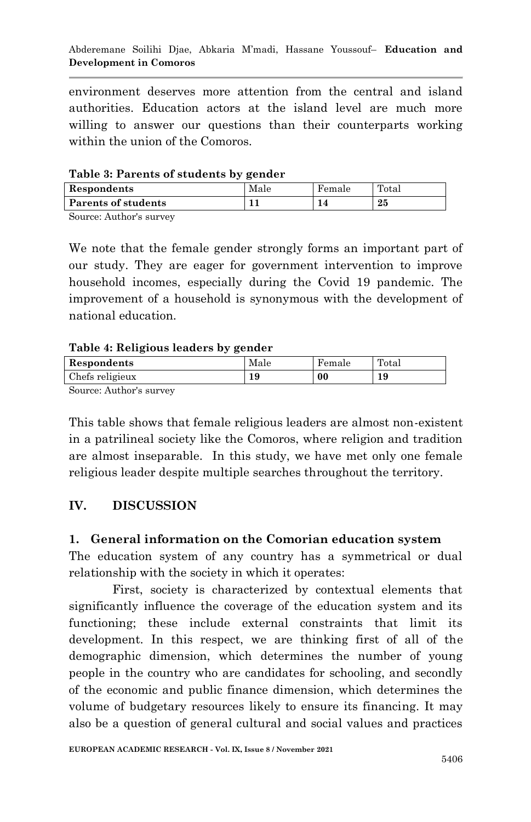environment deserves more attention from the central and island authorities. Education actors at the island level are much more willing to answer our questions than their counterparts working within the union of the Comoros.

#### **Table 3: Parents of students by gender**

| .                   |      |        |                   |
|---------------------|------|--------|-------------------|
| Respondents         | Male | Female | $_{\text{Total}}$ |
| Parents of students |      |        | 25                |
|                     |      |        |                   |

Source: Author's survey

We note that the female gender strongly forms an important part of our study. They are eager for government intervention to improve household incomes, especially during the Covid 19 pandemic. The improvement of a household is synonymous with the development of national education.

#### **Table 4: Religious leaders by gender**

|                 | . . |      |        |       |
|-----------------|-----|------|--------|-------|
| Respondents     |     | Male | Female | Total |
| Chefs religieux |     | 19   | 00     | 19    |
| $\sim$          |     |      |        |       |

Source: Author's survey

This table shows that female religious leaders are almost non-existent in a patrilineal society like the Comoros, where religion and tradition are almost inseparable. In this study, we have met only one female religious leader despite multiple searches throughout the territory.

#### **IV. DISCUSSION**

#### **1. General information on the Comorian education system**

The education system of any country has a symmetrical or dual relationship with the society in which it operates:

First, society is characterized by contextual elements that significantly influence the coverage of the education system and its functioning; these include external constraints that limit its development. In this respect, we are thinking first of all of the demographic dimension, which determines the number of young people in the country who are candidates for schooling, and secondly of the economic and public finance dimension, which determines the volume of budgetary resources likely to ensure its financing. It may also be a question of general cultural and social values and practices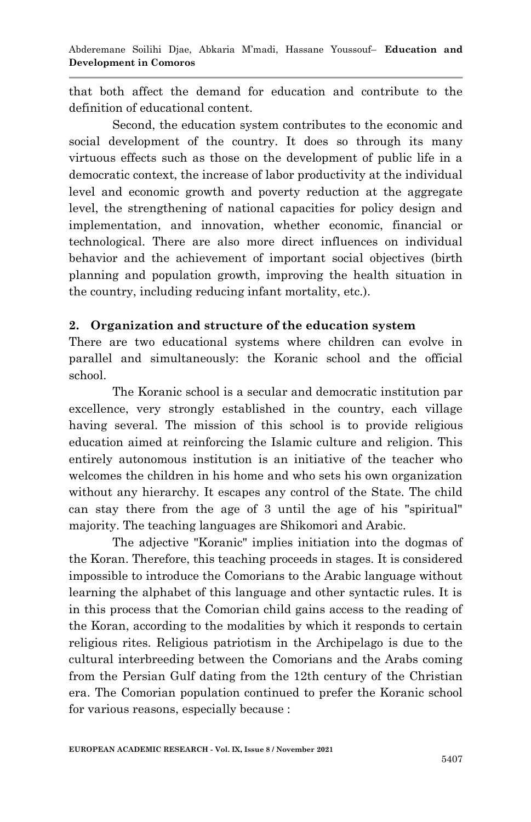that both affect the demand for education and contribute to the definition of educational content.

Second, the education system contributes to the economic and social development of the country. It does so through its many virtuous effects such as those on the development of public life in a democratic context, the increase of labor productivity at the individual level and economic growth and poverty reduction at the aggregate level, the strengthening of national capacities for policy design and implementation, and innovation, whether economic, financial or technological. There are also more direct influences on individual behavior and the achievement of important social objectives (birth planning and population growth, improving the health situation in the country, including reducing infant mortality, etc.).

#### **2. Organization and structure of the education system**

There are two educational systems where children can evolve in parallel and simultaneously: the Koranic school and the official school.

The Koranic school is a secular and democratic institution par excellence, very strongly established in the country, each village having several. The mission of this school is to provide religious education aimed at reinforcing the Islamic culture and religion. This entirely autonomous institution is an initiative of the teacher who welcomes the children in his home and who sets his own organization without any hierarchy. It escapes any control of the State. The child can stay there from the age of 3 until the age of his "spiritual" majority. The teaching languages are Shikomori and Arabic.

The adjective "Koranic" implies initiation into the dogmas of the Koran. Therefore, this teaching proceeds in stages. It is considered impossible to introduce the Comorians to the Arabic language without learning the alphabet of this language and other syntactic rules. It is in this process that the Comorian child gains access to the reading of the Koran, according to the modalities by which it responds to certain religious rites. Religious patriotism in the Archipelago is due to the cultural interbreeding between the Comorians and the Arabs coming from the Persian Gulf dating from the 12th century of the Christian era. The Comorian population continued to prefer the Koranic school for various reasons, especially because :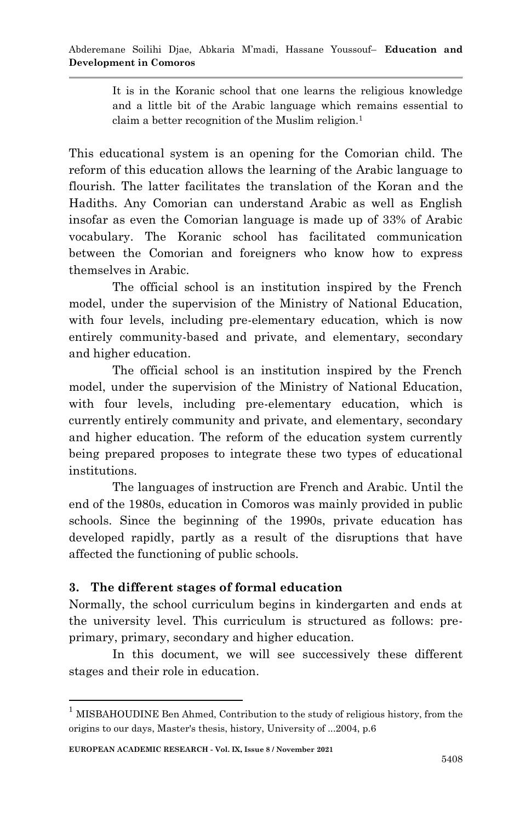It is in the Koranic school that one learns the religious knowledge and a little bit of the Arabic language which remains essential to claim a better recognition of the Muslim religion.<sup>1</sup>

This educational system is an opening for the Comorian child. The reform of this education allows the learning of the Arabic language to flourish. The latter facilitates the translation of the Koran and the Hadiths. Any Comorian can understand Arabic as well as English insofar as even the Comorian language is made up of 33% of Arabic vocabulary. The Koranic school has facilitated communication between the Comorian and foreigners who know how to express themselves in Arabic.

The official school is an institution inspired by the French model, under the supervision of the Ministry of National Education, with four levels, including pre-elementary education, which is now entirely community-based and private, and elementary, secondary and higher education.

The official school is an institution inspired by the French model, under the supervision of the Ministry of National Education, with four levels, including pre-elementary education, which is currently entirely community and private, and elementary, secondary and higher education. The reform of the education system currently being prepared proposes to integrate these two types of educational institutions.

The languages of instruction are French and Arabic. Until the end of the 1980s, education in Comoros was mainly provided in public schools. Since the beginning of the 1990s, private education has developed rapidly, partly as a result of the disruptions that have affected the functioning of public schools.

# **3. The different stages of formal education**

Normally, the school curriculum begins in kindergarten and ends at the university level. This curriculum is structured as follows: preprimary, primary, secondary and higher education.

In this document, we will see successively these different stages and their role in education.

1

<sup>&</sup>lt;sup>1</sup> MISBAHOUDINE Ben Ahmed, Contribution to the study of religious history, from the origins to our days, Master's thesis, history, University of ...2004, p.6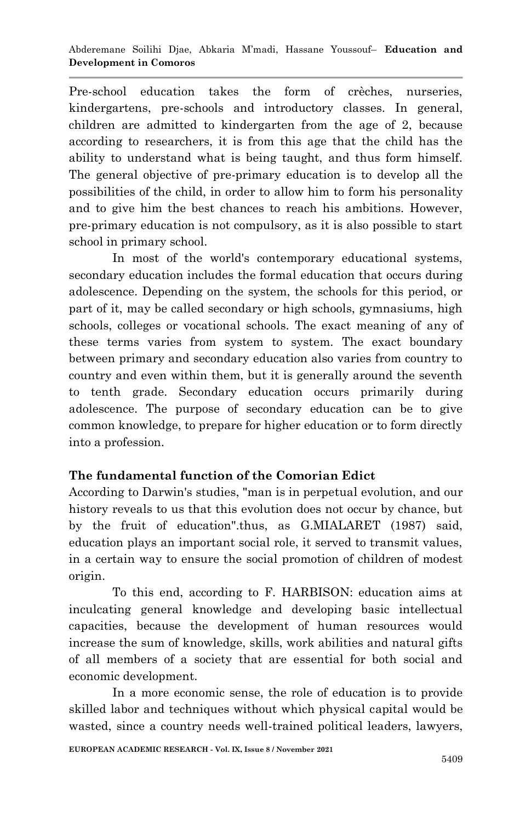Pre-school education takes the form of crèches, nurseries, kindergartens, pre-schools and introductory classes. In general, children are admitted to kindergarten from the age of 2, because according to researchers, it is from this age that the child has the ability to understand what is being taught, and thus form himself. The general objective of pre-primary education is to develop all the possibilities of the child, in order to allow him to form his personality and to give him the best chances to reach his ambitions. However, pre-primary education is not compulsory, as it is also possible to start school in primary school.

In most of the world's contemporary educational systems, secondary education includes the formal education that occurs during adolescence. Depending on the system, the schools for this period, or part of it, may be called secondary or high schools, gymnasiums, high schools, colleges or vocational schools. The exact meaning of any of these terms varies from system to system. The exact boundary between primary and secondary education also varies from country to country and even within them, but it is generally around the seventh to tenth grade. Secondary education occurs primarily during adolescence. The purpose of secondary education can be to give common knowledge, to prepare for higher education or to form directly into a profession.

# **The fundamental function of the Comorian Edict**

According to Darwin's studies, "man is in perpetual evolution, and our history reveals to us that this evolution does not occur by chance, but by the fruit of education".thus, as G.MIALARET (1987) said, education plays an important social role, it served to transmit values, in a certain way to ensure the social promotion of children of modest origin.

To this end, according to F. HARBISON: education aims at inculcating general knowledge and developing basic intellectual capacities, because the development of human resources would increase the sum of knowledge, skills, work abilities and natural gifts of all members of a society that are essential for both social and economic development.

In a more economic sense, the role of education is to provide skilled labor and techniques without which physical capital would be wasted, since a country needs well-trained political leaders, lawyers,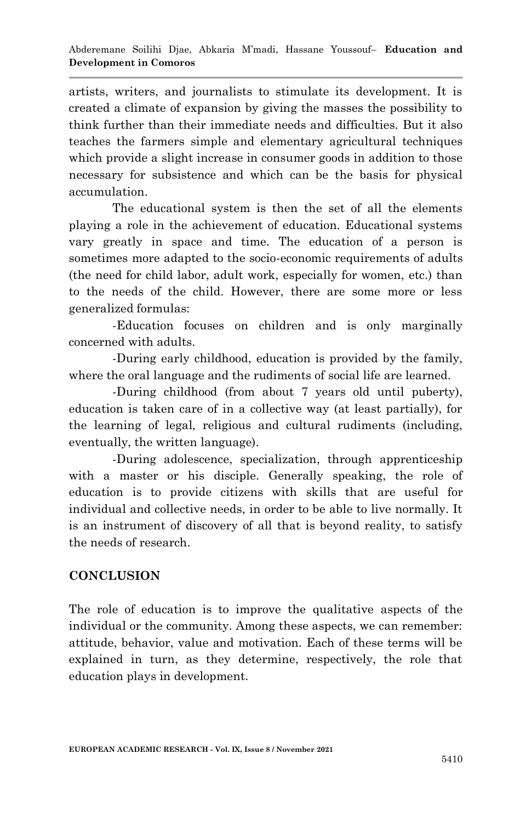artists, writers, and journalists to stimulate its development. It is created a climate of expansion by giving the masses the possibility to think further than their immediate needs and difficulties. But it also teaches the farmers simple and elementary agricultural techniques which provide a slight increase in consumer goods in addition to those necessary for subsistence and which can be the basis for physical accumulation.

The educational system is then the set of all the elements playing a role in the achievement of education. Educational systems vary greatly in space and time. The education of a person is sometimes more adapted to the socio-economic requirements of adults (the need for child labor, adult work, especially for women, etc.) than to the needs of the child. However, there are some more or less generalized formulas:

-Education focuses on children and is only marginally concerned with adults.

-During early childhood, education is provided by the family, where the oral language and the rudiments of social life are learned.

-During childhood (from about 7 years old until puberty), education is taken care of in a collective way (at least partially), for the learning of legal, religious and cultural rudiments (including, eventually, the written language).

-During adolescence, specialization, through apprenticeship with a master or his disciple. Generally speaking, the role of education is to provide citizens with skills that are useful for individual and collective needs, in order to be able to live normally. It is an instrument of discovery of all that is beyond reality, to satisfy the needs of research.

# **CONCLUSION**

The role of education is to improve the qualitative aspects of the individual or the community. Among these aspects, we can remember: attitude, behavior, value and motivation. Each of these terms will be explained in turn, as they determine, respectively, the role that education plays in development.